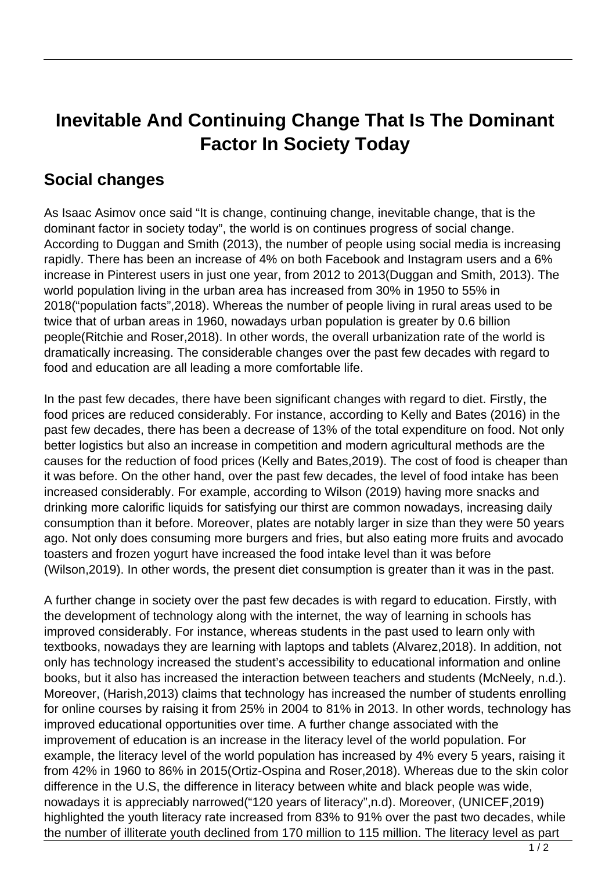## **Inevitable And Continuing Change That Is The Dominant Factor In Society Today**

## **Social changes**

As Isaac Asimov once said "It is change, continuing change, inevitable change, that is the dominant factor in society today", the world is on continues progress of social change. According to Duggan and Smith (2013), the number of people using social media is increasing rapidly. There has been an increase of 4% on both Facebook and Instagram users and a 6% increase in Pinterest users in just one year, from 2012 to 2013(Duggan and Smith, 2013). The world population living in the urban area has increased from 30% in 1950 to 55% in 2018("population facts",2018). Whereas the number of people living in rural areas used to be twice that of urban areas in 1960, nowadays urban population is greater by 0.6 billion people(Ritchie and Roser,2018). In other words, the overall urbanization rate of the world is dramatically increasing. The considerable changes over the past few decades with regard to food and education are all leading a more comfortable life.

In the past few decades, there have been significant changes with regard to diet. Firstly, the food prices are reduced considerably. For instance, according to Kelly and Bates (2016) in the past few decades, there has been a decrease of 13% of the total expenditure on food. Not only better logistics but also an increase in competition and modern agricultural methods are the causes for the reduction of food prices (Kelly and Bates,2019). The cost of food is cheaper than it was before. On the other hand, over the past few decades, the level of food intake has been increased considerably. For example, according to Wilson (2019) having more snacks and drinking more calorific liquids for satisfying our thirst are common nowadays, increasing daily consumption than it before. Moreover, plates are notably larger in size than they were 50 years ago. Not only does consuming more burgers and fries, but also eating more fruits and avocado toasters and frozen yogurt have increased the food intake level than it was before (Wilson,2019). In other words, the present diet consumption is greater than it was in the past.

A further change in society over the past few decades is with regard to education. Firstly, with the development of technology along with the internet, the way of learning in schools has improved considerably. For instance, whereas students in the past used to learn only with textbooks, nowadays they are learning with laptops and tablets (Alvarez,2018). In addition, not only has technology increased the student's accessibility to educational information and online books, but it also has increased the interaction between teachers and students (McNeely, n.d.). Moreover, (Harish,2013) claims that technology has increased the number of students enrolling for online courses by raising it from 25% in 2004 to 81% in 2013. In other words, technology has improved educational opportunities over time. A further change associated with the improvement of education is an increase in the literacy level of the world population. For example, the literacy level of the world population has increased by 4% every 5 years, raising it from 42% in 1960 to 86% in 2015(Ortiz-Ospina and Roser,2018). Whereas due to the skin color difference in the U.S, the difference in literacy between white and black people was wide, nowadays it is appreciably narrowed("120 years of literacy",n.d). Moreover, (UNICEF,2019) highlighted the youth literacy rate increased from 83% to 91% over the past two decades, while the number of illiterate youth declined from 170 million to 115 million. The literacy level as part